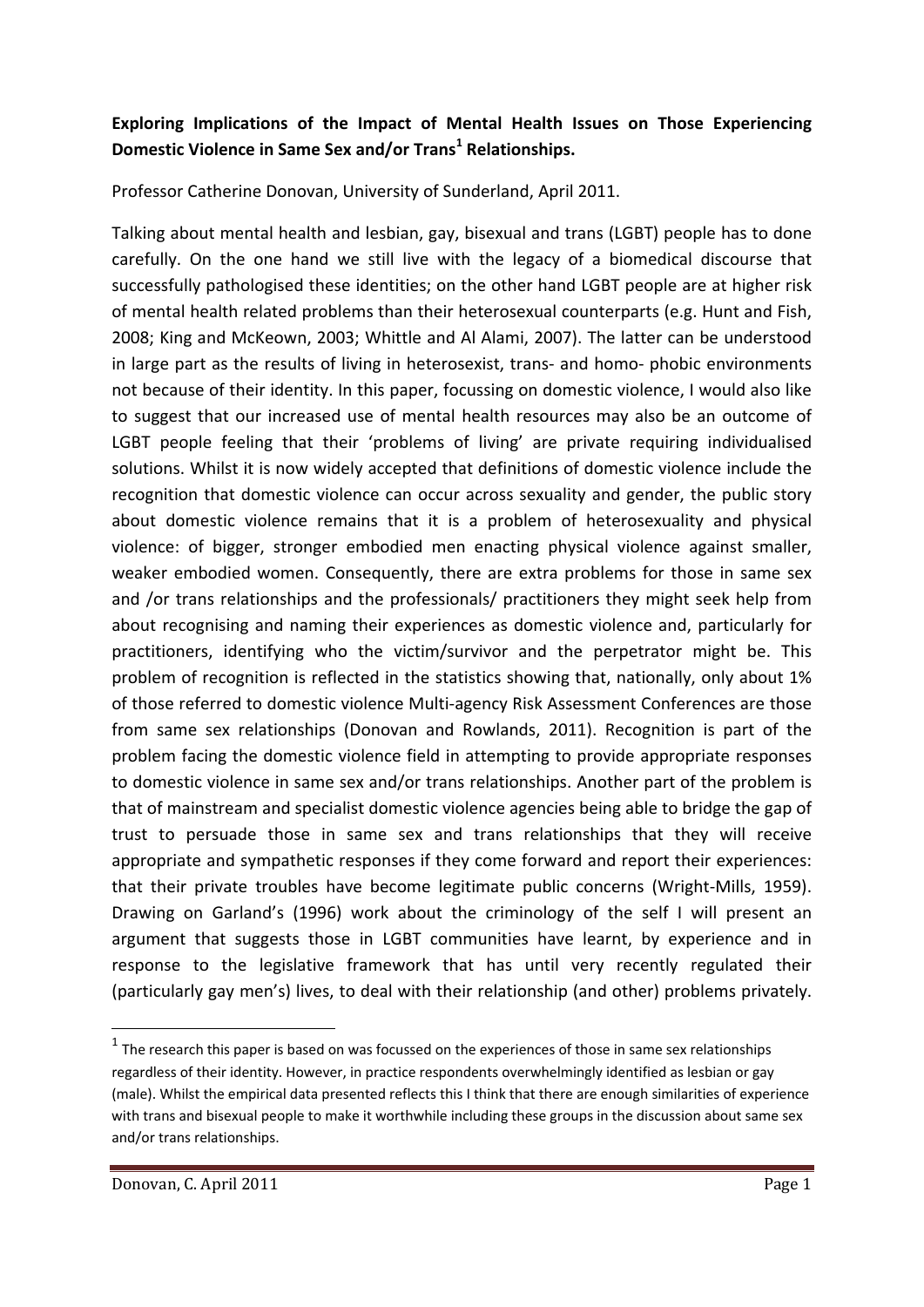## **Exploring Implications of the Impact of Mental Health Issues on Those Experiencing Domestic Violence in Same Sex and/or Trans<sup>1</sup> Relationships.**

Professor Catherine Donovan, University of Sunderland, April 2011.

Talking about mental health and lesbian, gay, bisexual and trans (LGBT) people has to done carefully. On the one hand we still live with the legacy of a biomedical discourse that successfully pathologised these identities; on the other hand LGBT people are at higher risk of mental health related problems than their heterosexual counterparts (e.g. Hunt and Fish, 2008; King and McKeown, 2003; Whittle and Al Alami, 2007). The latter can be understood in large part as the results of living in heterosexist, trans- and homo- phobic environments not because of their identity. In this paper, focussing on domestic violence, I would also like to suggest that our increased use of mental health resources may also be an outcome of LGBT people feeling that their 'problems of living' are private requiring individualised solutions. Whilst it is now widely accepted that definitions of domestic violence include the recognition that domestic violence can occur across sexuality and gender, the public story about domestic violence remains that it is a problem of heterosexuality and physical violence: of bigger, stronger embodied men enacting physical violence against smaller, weaker embodied women. Consequently, there are extra problems for those in same sex and /or trans relationships and the professionals/ practitioners they might seek help from about recognising and naming their experiences as domestic violence and, particularly for practitioners, identifying who the victim/survivor and the perpetrator might be. This problem of recognition is reflected in the statistics showing that, nationally, only about 1% of those referred to domestic violence Multi‐agency Risk Assessment Conferences are those from same sex relationships (Donovan and Rowlands, 2011). Recognition is part of the problem facing the domestic violence field in attempting to provide appropriate responses to domestic violence in same sex and/or trans relationships. Another part of the problem is that of mainstream and specialist domestic violence agencies being able to bridge the gap of trust to persuade those in same sex and trans relationships that they will receive appropriate and sympathetic responses if they come forward and report their experiences: that their private troubles have become legitimate public concerns (Wright‐Mills, 1959). Drawing on Garland's (1996) work about the criminology of the self I will present an argument that suggests those in LGBT communities have learnt, by experience and in response to the legislative framework that has until very recently regulated their (particularly gay men's) lives, to deal with their relationship (and other) problems privately.

 $1$  The research this paper is based on was focussed on the experiences of those in same sex relationships regardless of their identity. However, in practice respondents overwhelmingly identified as lesbian or gay (male). Whilst the empirical data presented reflects this I think that there are enough similarities of experience with trans and bisexual people to make it worthwhile including these groups in the discussion about same sex and/or trans relationships.